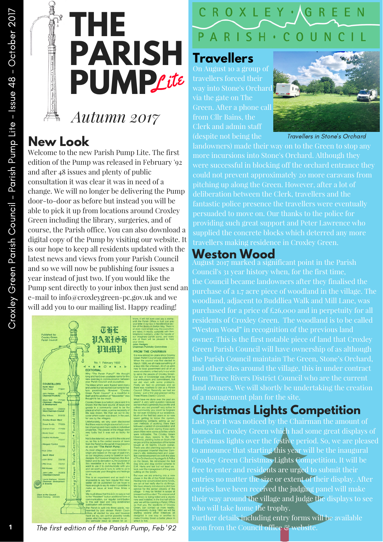

# *Autumn 2017*

#### **New Look**

Welcome to the new Parish Pump Lite. The first edition of the Pump was released in February '92 and after 48 issues and plenty of public consultation it was clear it was in need of a change. We will no longer be delivering the Pump door-to-door as before but instead you will be able to pick it up from locations around Croxley Green including the library, surgeries, and of course, the Parish office. You can also download a digital copy of the Pump by visiting our website. It is our hope to keep all residents updated with the latest news and views from your Parish Council and so we will now be publishing four issues a year instead of just two. If you would like the Pump sent directly to your inbox then just send an e-mail to info@croxleygreen-pc.gov.uk and we will add you to our mailing list. Happy reading!



#### **Travellers**

On August 10 a group of travellers forced their way into Stone's Orchard via the gate on The from Cllr Bains, the Clerk and admin staff



Travellers in Stone's Orchard

landowners) made their way on to the Green to stop any more incursions into Stone's Orchard. Although they could not prevent approximately 20 more caravans from deliberation between the Clerk, travellers and the fantastic police presence the travellers were eventually providing such great support and Peter Lawrence who supplied the concrete blocks which deterred any more travellers making residence in Croxley Green.

#### **Weston Wood**

August 2017 marked a significant point in the Parish Council's 31 year history when, for the first time, the Council became landowners after they finalised the purchase of a 1.7 acre piece of woodland in the village. The woodland, adjacent to Buddliea Walk and Mill Lane, was residents of Croxley Green. The woodland is to be called "Weston Wood" in recognition of the previous land Green Parish Council will have ownership of as although the Parish Council maintain The Green, Stone's Orchard, and other sites around the village, this in under contract from Three Rivers District Council who are the current of a management plan for the site.

#### **Christmas Lights Competition**

Last year it was noticed by the Chairman the amount of homes in Croxley Green which had some great displays of Christmas lights over the festive period. So, we are pleased to announce that starting this year will be the inaugural Croxley Green Christmas Lights Competition. It will be free to enter and residents are urged to submit their entries no matter the size or extent of their display. After entries have been received the judging panel will make their way around the village and judge the displays to see who will take home the trophy.

Further details including entry forms will be available soon from the Council office & website.